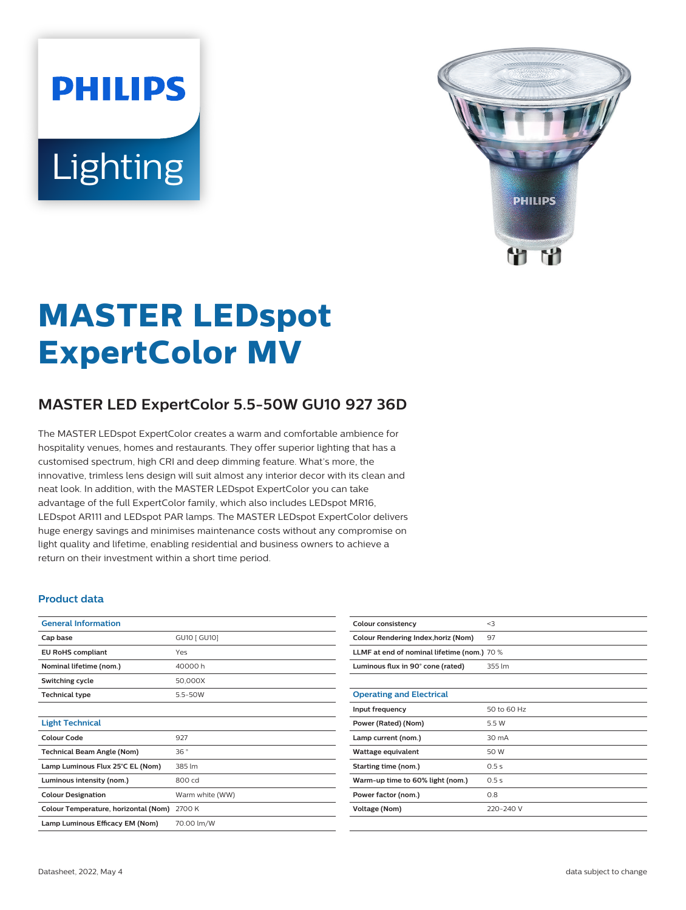# **PHILIPS** Lighting



# **MASTER LEDspot ExpertColor MV**

# **MASTER LED ExpertColor 5.5-50W GU10 927 36D**

The MASTER LEDspot ExpertColor creates a warm and comfortable ambience for hospitality venues, homes and restaurants. They offer superior lighting that has a customised spectrum, high CRI and deep dimming feature. What's more, the innovative, trimless lens design will suit almost any interior decor with its clean and neat look. In addition, with the MASTER LEDspot ExpertColor you can take advantage of the full ExpertColor family, which also includes LEDspot MR16, LEDspot AR111 and LEDspot PAR lamps. The MASTER LEDspot ExpertColor delivers huge energy savings and minimises maintenance costs without any compromise on light quality and lifetime, enabling residential and business owners to achieve a return on their investment within a short time period.

#### **Product data**

| <b>General Information</b>           |                 |
|--------------------------------------|-----------------|
| Cap base                             | GU10 [ GU10]    |
| <b>EU RoHS compliant</b>             | Yes             |
| Nominal lifetime (nom.)              | 40000 h         |
| Switching cycle                      | 50,000X         |
| <b>Technical type</b>                | $5.5 - 50W$     |
|                                      |                 |
| <b>Light Technical</b>               |                 |
| Colour Code                          | 927             |
| <b>Technical Beam Angle (Nom)</b>    | 36°             |
| Lamp Luminous Flux 25°C EL (Nom)     | 385 lm          |
| Luminous intensity (nom.)            | 800 cd          |
| <b>Colour Designation</b>            | Warm white (WW) |
| Colour Temperature, horizontal (Nom) | 2700 K          |
| Lamp Luminous Efficacy EM (Nom)      | 70.00 lm/W      |

| Colour consistency                          | $<$ 3       |  |
|---------------------------------------------|-------------|--|
| Colour Rendering Index, horiz (Nom)         | 97          |  |
| LLMF at end of nominal lifetime (nom.) 70 % |             |  |
| Luminous flux in 90° cone (rated)           | 355 lm      |  |
|                                             |             |  |
| <b>Operating and Electrical</b>             |             |  |
| Input frequency                             | 50 to 60 Hz |  |
| Power (Rated) (Nom)                         | 5.5 W       |  |
| Lamp current (nom.)                         | 30 mA       |  |
| Wattage equivalent                          | 50 W        |  |
| Starting time (nom.)                        | 0.5s        |  |
| Warm-up time to 60% light (nom.)            | 0.5s        |  |
| Power factor (nom.)                         | 0.8         |  |
| Voltage (Nom)                               | 220-240 V   |  |
|                                             |             |  |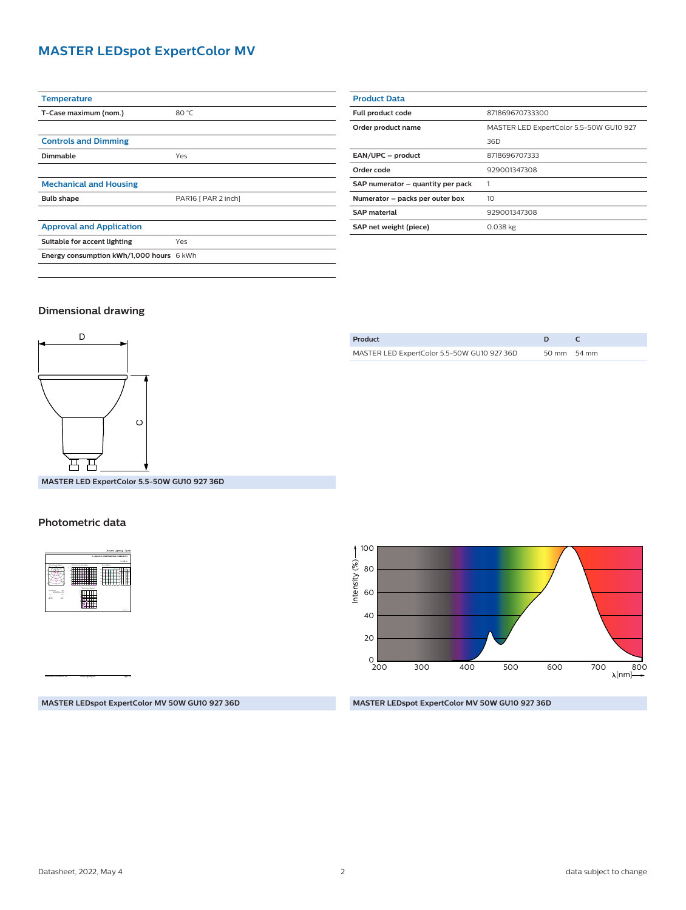## **MASTER LEDspot ExpertColor MV**

| <b>Temperature</b>                       |                     |
|------------------------------------------|---------------------|
| T-Case maximum (nom.)                    | 80 °C               |
|                                          |                     |
| <b>Controls and Dimming</b>              |                     |
| Dimmable                                 | Yes                 |
|                                          |                     |
| <b>Mechanical and Housing</b>            |                     |
| <b>Bulb shape</b>                        | PAR16 [ PAR 2 inch] |
|                                          |                     |
| <b>Approval and Application</b>          |                     |
| Suitable for accent lighting             | Yes                 |
| Energy consumption kWh/1,000 hours 6 kWh |                     |
|                                          |                     |

| <b>Product Data</b>               |                                         |
|-----------------------------------|-----------------------------------------|
| Full product code                 | 871869670733300                         |
| Order product name                | MASTER LED ExpertColor 5.5-50W GU10 927 |
|                                   | 36D                                     |
| EAN/UPC - product                 | 8718696707333                           |
| Order code                        | 929001347308                            |
| SAP numerator - quantity per pack |                                         |
| Numerator - packs per outer box   | 10                                      |
| <b>SAP material</b>               | 929001347308                            |
| SAP net weight (piece)            | $0.038$ kg                              |
|                                   |                                         |

#### **Dimensional drawing**



MASTER LED ExpertColor 5.5-50W GU10 927 36D 50 mm 54 mm

**Product D C**

**MASTER LED ExpertColor 5.5-50W GU10 927 36D**

#### **Photometric data**



CalcuLuX Photometrics 4.5 Philips Lighting B.V. Page: 1/1

200 300 400 500 600  $_{200}^{\circ}$ 40 80 20 60 700 800<br>← [nm]∧ 100 Intensity (%)

**MASTER LEDspot ExpertColor MV 50W GU10 927 36D**

#### **MASTER LEDspot ExpertColor MV 50W GU10 927 36D**